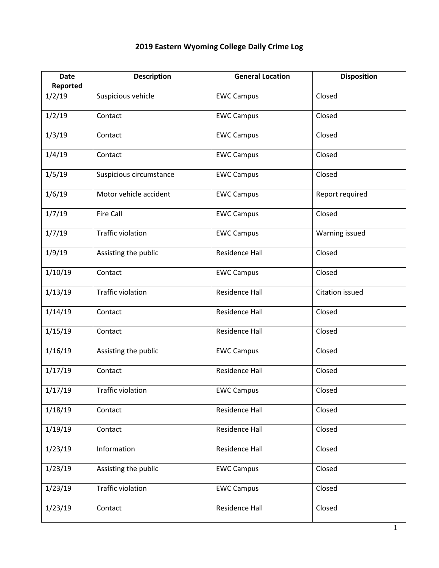## **Date Reported Description General Location Disposition** 1/2/19 Suspicious vehicle EWC Campus Closed 1/2/19 | Contact | EWC Campus | Closed 1/3/19 | Contact | EWC Campus | Closed 1/4/19 | Contact | EWC Campus | Closed 1/5/19 Suspicious circumstance EWC Campus | Closed 1/6/19 | Motor vehicle accident | EWC Campus | Report required 1/7/19 | Fire Call **EWC Campus** | Closed 1/7/19 | Traffic violation | EWC Campus | Warning issued 1/9/19 | Assisting the public | Residence Hall | Closed 1/10/19 Contact EWC Campus Closed 1/13/19 | Traffic violation | Residence Hall | Citation issued 1/14/19 Contact Residence Hall Closed 1/15/19 Contact Residence Hall Closed 1/16/19 Assisting the public EWC Campus | Closed 1/17/19 Contact Residence Hall Closed 1/17/19 | Traffic violation | EWC Campus | Closed 1/18/19 Contact Residence Hall Closed 1/19/19 Contact Residence Hall Closed 1/23/19 | Information | Residence Hall | Closed 1/23/19 Assisting the public EWC Campus | Closed 1/23/19 | Traffic violation | EWC Campus | Closed 1/23/19 Contact Residence Hall Closed

## **2019 Eastern Wyoming College Daily Crime Log**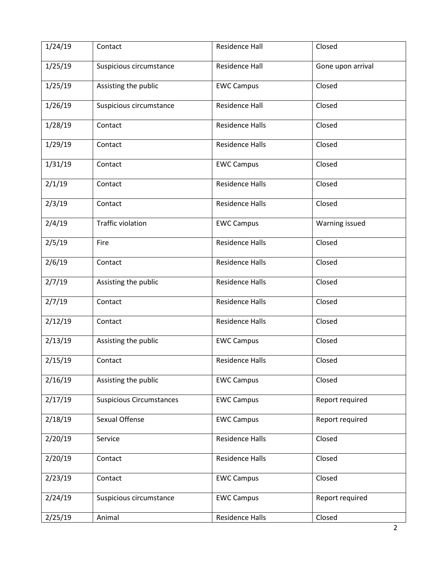| 1/24/19 | Contact                         | Residence Hall         | Closed            |
|---------|---------------------------------|------------------------|-------------------|
| 1/25/19 | Suspicious circumstance         | <b>Residence Hall</b>  | Gone upon arrival |
| 1/25/19 | Assisting the public            | <b>EWC Campus</b>      | Closed            |
| 1/26/19 | Suspicious circumstance         | <b>Residence Hall</b>  | Closed            |
| 1/28/19 | Contact                         | <b>Residence Halls</b> | Closed            |
| 1/29/19 | Contact                         | <b>Residence Halls</b> | Closed            |
| 1/31/19 | Contact                         | <b>EWC Campus</b>      | Closed            |
| 2/1/19  | Contact                         | <b>Residence Halls</b> | Closed            |
| 2/3/19  | Contact                         | <b>Residence Halls</b> | Closed            |
| 2/4/19  | <b>Traffic violation</b>        | <b>EWC Campus</b>      | Warning issued    |
| 2/5/19  | Fire                            | <b>Residence Halls</b> | Closed            |
| 2/6/19  | Contact                         | <b>Residence Halls</b> | Closed            |
| 2/7/19  | Assisting the public            | <b>Residence Halls</b> | Closed            |
| 2/7/19  | Contact                         | <b>Residence Halls</b> | Closed            |
| 2/12/19 | Contact                         | <b>Residence Halls</b> | Closed            |
| 2/13/19 | Assisting the public            | <b>EWC Campus</b>      | Closed            |
| 2/15/19 | Contact                         | <b>Residence Halls</b> | Closed            |
| 2/16/19 | Assisting the public            | <b>EWC Campus</b>      | Closed            |
| 2/17/19 | <b>Suspicious Circumstances</b> | <b>EWC Campus</b>      | Report required   |
| 2/18/19 | Sexual Offense                  | <b>EWC Campus</b>      | Report required   |
| 2/20/19 | Service                         | <b>Residence Halls</b> | Closed            |
| 2/20/19 | Contact                         | <b>Residence Halls</b> | Closed            |
| 2/23/19 | Contact                         | <b>EWC Campus</b>      | Closed            |
| 2/24/19 | Suspicious circumstance         | <b>EWC Campus</b>      | Report required   |
| 2/25/19 | Animal                          | <b>Residence Halls</b> | Closed            |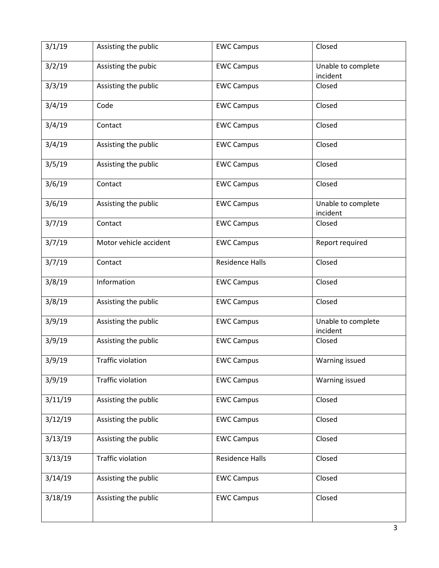| 3/1/19  | Assisting the public     | <b>EWC Campus</b>      | Closed                         |
|---------|--------------------------|------------------------|--------------------------------|
| 3/2/19  | Assisting the pubic      | <b>EWC Campus</b>      | Unable to complete<br>incident |
| 3/3/19  | Assisting the public     | <b>EWC Campus</b>      | Closed                         |
| 3/4/19  | Code                     | <b>EWC Campus</b>      | Closed                         |
| 3/4/19  | Contact                  | <b>EWC Campus</b>      | Closed                         |
| 3/4/19  | Assisting the public     | <b>EWC Campus</b>      | Closed                         |
| 3/5/19  | Assisting the public     | <b>EWC Campus</b>      | Closed                         |
| 3/6/19  | Contact                  | <b>EWC Campus</b>      | Closed                         |
| 3/6/19  | Assisting the public     | <b>EWC Campus</b>      | Unable to complete<br>incident |
| 3/7/19  | Contact                  | <b>EWC Campus</b>      | Closed                         |
| 3/7/19  | Motor vehicle accident   | <b>EWC Campus</b>      | Report required                |
| 3/7/19  | Contact                  | <b>Residence Halls</b> | Closed                         |
| 3/8/19  | Information              | <b>EWC Campus</b>      | Closed                         |
| 3/8/19  | Assisting the public     | <b>EWC Campus</b>      | Closed                         |
| 3/9/19  | Assisting the public     | <b>EWC Campus</b>      | Unable to complete<br>incident |
| 3/9/19  | Assisting the public     | <b>EWC Campus</b>      | Closed                         |
| 3/9/19  | Traffic violation        | <b>EWC Campus</b>      | Warning issued                 |
| 3/9/19  | <b>Traffic violation</b> | <b>EWC Campus</b>      | Warning issued                 |
| 3/11/19 | Assisting the public     | <b>EWC Campus</b>      | Closed                         |
| 3/12/19 | Assisting the public     | <b>EWC Campus</b>      | Closed                         |
| 3/13/19 | Assisting the public     | <b>EWC Campus</b>      | Closed                         |
| 3/13/19 | <b>Traffic violation</b> | <b>Residence Halls</b> | Closed                         |
| 3/14/19 | Assisting the public     | <b>EWC Campus</b>      | Closed                         |
| 3/18/19 | Assisting the public     | <b>EWC Campus</b>      | Closed                         |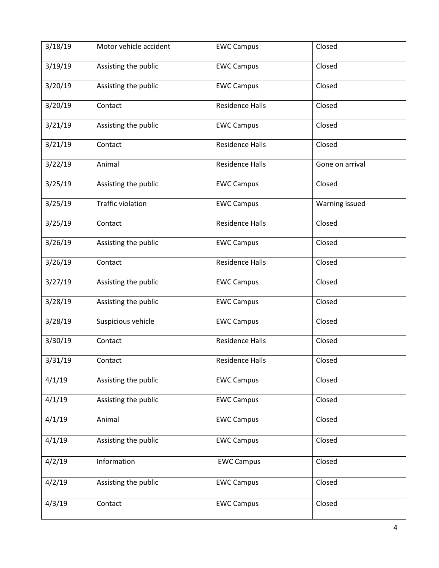| 3/18/19 | Motor vehicle accident   | <b>EWC Campus</b>      | Closed          |
|---------|--------------------------|------------------------|-----------------|
| 3/19/19 | Assisting the public     | <b>EWC Campus</b>      | Closed          |
| 3/20/19 | Assisting the public     | <b>EWC Campus</b>      | Closed          |
| 3/20/19 | Contact                  | <b>Residence Halls</b> | Closed          |
| 3/21/19 | Assisting the public     | <b>EWC Campus</b>      | Closed          |
| 3/21/19 | Contact                  | <b>Residence Halls</b> | Closed          |
| 3/22/19 | Animal                   | <b>Residence Halls</b> | Gone on arrival |
| 3/25/19 | Assisting the public     | <b>EWC Campus</b>      | Closed          |
| 3/25/19 | <b>Traffic violation</b> | <b>EWC Campus</b>      | Warning issued  |
| 3/25/19 | Contact                  | <b>Residence Halls</b> | Closed          |
| 3/26/19 | Assisting the public     | <b>EWC Campus</b>      | Closed          |
| 3/26/19 | Contact                  | <b>Residence Halls</b> | Closed          |
| 3/27/19 | Assisting the public     | <b>EWC Campus</b>      | Closed          |
| 3/28/19 | Assisting the public     | <b>EWC Campus</b>      | Closed          |
| 3/28/19 | Suspicious vehicle       | <b>EWC Campus</b>      | Closed          |
| 3/30/19 | Contact                  | <b>Residence Halls</b> | Closed          |
| 3/31/19 | Contact                  | Residence Halls        | Closed          |
| 4/1/19  | Assisting the public     | <b>EWC Campus</b>      | Closed          |
| 4/1/19  | Assisting the public     | <b>EWC Campus</b>      | Closed          |
| 4/1/19  | Animal                   | <b>EWC Campus</b>      | Closed          |
| 4/1/19  | Assisting the public     | <b>EWC Campus</b>      | Closed          |
| 4/2/19  | Information              | <b>EWC Campus</b>      | Closed          |
| 4/2/19  | Assisting the public     | <b>EWC Campus</b>      | Closed          |
| 4/3/19  | Contact                  | <b>EWC Campus</b>      | Closed          |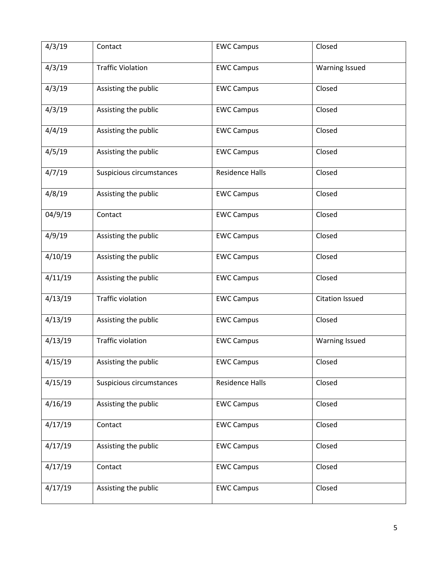| 4/3/19  | Contact                  | <b>EWC Campus</b>      | Closed                 |
|---------|--------------------------|------------------------|------------------------|
| 4/3/19  | <b>Traffic Violation</b> | <b>EWC Campus</b>      | <b>Warning Issued</b>  |
| 4/3/19  | Assisting the public     | <b>EWC Campus</b>      | Closed                 |
| 4/3/19  | Assisting the public     | <b>EWC Campus</b>      | Closed                 |
| 4/4/19  | Assisting the public     | <b>EWC Campus</b>      | Closed                 |
| 4/5/19  | Assisting the public     | <b>EWC Campus</b>      | Closed                 |
| 4/7/19  | Suspicious circumstances | <b>Residence Halls</b> | Closed                 |
| 4/8/19  | Assisting the public     | <b>EWC Campus</b>      | Closed                 |
| 04/9/19 | Contact                  | <b>EWC Campus</b>      | Closed                 |
| 4/9/19  | Assisting the public     | <b>EWC Campus</b>      | Closed                 |
| 4/10/19 | Assisting the public     | <b>EWC Campus</b>      | Closed                 |
| 4/11/19 | Assisting the public     | <b>EWC Campus</b>      | Closed                 |
| 4/13/19 | <b>Traffic violation</b> | <b>EWC Campus</b>      | <b>Citation Issued</b> |
| 4/13/19 | Assisting the public     | <b>EWC Campus</b>      | Closed                 |
| 4/13/19 | <b>Traffic violation</b> | <b>EWC Campus</b>      | <b>Warning Issued</b>  |
| 4/15/19 | Assisting the public     | <b>EWC Campus</b>      | Closed                 |
| 4/15/19 | Suspicious circumstances | <b>Residence Halls</b> | Closed                 |
| 4/16/19 | Assisting the public     | <b>EWC Campus</b>      | Closed                 |
| 4/17/19 | Contact                  | <b>EWC Campus</b>      | Closed                 |
| 4/17/19 | Assisting the public     | <b>EWC Campus</b>      | Closed                 |
| 4/17/19 | Contact                  | <b>EWC Campus</b>      | Closed                 |
| 4/17/19 | Assisting the public     | <b>EWC Campus</b>      | Closed                 |
|         |                          |                        |                        |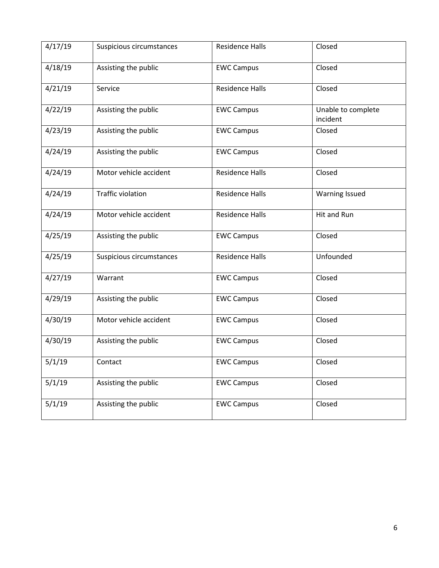| 4/17/19 | Suspicious circumstances | <b>Residence Halls</b> | Closed                         |
|---------|--------------------------|------------------------|--------------------------------|
| 4/18/19 | Assisting the public     | <b>EWC Campus</b>      | Closed                         |
| 4/21/19 | Service                  | <b>Residence Halls</b> | Closed                         |
| 4/22/19 | Assisting the public     | <b>EWC Campus</b>      | Unable to complete<br>incident |
| 4/23/19 | Assisting the public     | <b>EWC Campus</b>      | Closed                         |
| 4/24/19 | Assisting the public     | <b>EWC Campus</b>      | Closed                         |
| 4/24/19 | Motor vehicle accident   | <b>Residence Halls</b> | Closed                         |
| 4/24/19 | <b>Traffic violation</b> | <b>Residence Halls</b> | Warning Issued                 |
| 4/24/19 | Motor vehicle accident   | <b>Residence Halls</b> | Hit and Run                    |
| 4/25/19 | Assisting the public     | <b>EWC Campus</b>      | Closed                         |
| 4/25/19 | Suspicious circumstances | <b>Residence Halls</b> | Unfounded                      |
| 4/27/19 | Warrant                  | <b>EWC Campus</b>      | Closed                         |
| 4/29/19 | Assisting the public     | <b>EWC Campus</b>      | Closed                         |
| 4/30/19 | Motor vehicle accident   | <b>EWC Campus</b>      | Closed                         |
| 4/30/19 | Assisting the public     | <b>EWC Campus</b>      | Closed                         |
| 5/1/19  | Contact                  | <b>EWC Campus</b>      | Closed                         |
| 5/1/19  | Assisting the public     | <b>EWC Campus</b>      | Closed                         |
| 5/1/19  | Assisting the public     | <b>EWC Campus</b>      | Closed                         |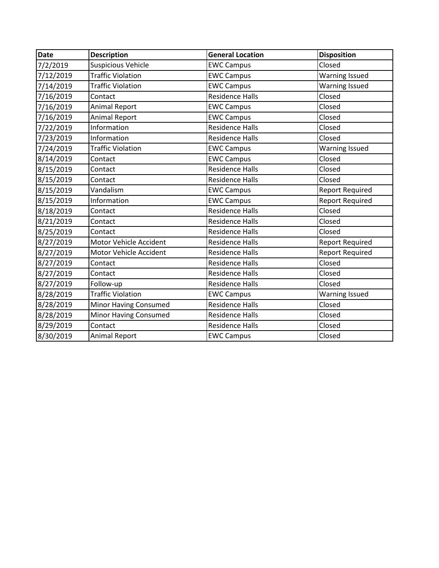| <b>Date</b> | <b>Description</b>        | <b>General Location</b> | <b>Disposition</b>     |
|-------------|---------------------------|-------------------------|------------------------|
| 7/2/2019    | <b>Suspicious Vehicle</b> | <b>EWC Campus</b>       | Closed                 |
| 7/12/2019   | <b>Traffic Violation</b>  | <b>EWC Campus</b>       | <b>Warning Issued</b>  |
| 7/14/2019   | <b>Traffic Violation</b>  | <b>EWC Campus</b>       | <b>Warning Issued</b>  |
| 7/16/2019   | Contact                   | <b>Residence Halls</b>  | Closed                 |
| 7/16/2019   | <b>Animal Report</b>      | <b>EWC Campus</b>       | Closed                 |
| 7/16/2019   | <b>Animal Report</b>      | <b>EWC Campus</b>       | Closed                 |
| 7/22/2019   | <b>Information</b>        | <b>Residence Halls</b>  | Closed                 |
| 7/23/2019   | Information               | <b>Residence Halls</b>  | Closed                 |
| 7/24/2019   | <b>Traffic Violation</b>  | <b>EWC Campus</b>       | <b>Warning Issued</b>  |
| 8/14/2019   | Contact                   | <b>EWC Campus</b>       | Closed                 |
| 8/15/2019   | Contact                   | <b>Residence Halls</b>  | Closed                 |
| 8/15/2019   | Contact                   | <b>Residence Halls</b>  | Closed                 |
| 8/15/2019   | Vandalism                 | <b>EWC Campus</b>       | <b>Report Required</b> |
| 8/15/2019   | Information               | <b>EWC Campus</b>       | <b>Report Required</b> |
| 8/18/2019   | Contact                   | <b>Residence Halls</b>  | Closed                 |
| 8/21/2019   | Contact                   | <b>Residence Halls</b>  | Closed                 |
| 8/25/2019   | Contact                   | <b>Residence Halls</b>  | Closed                 |
| 8/27/2019   | Motor Vehicle Accident    | <b>Residence Halls</b>  | <b>Report Required</b> |
| 8/27/2019   | Motor Vehicle Accident    | <b>Residence Halls</b>  | <b>Report Required</b> |
| 8/27/2019   | Contact                   | <b>Residence Halls</b>  | Closed                 |
| 8/27/2019   | Contact                   | <b>Residence Halls</b>  | Closed                 |
| 8/27/2019   | Follow-up                 | <b>Residence Halls</b>  | Closed                 |
| 8/28/2019   | <b>Traffic Violation</b>  | <b>EWC Campus</b>       | <b>Warning Issued</b>  |
| 8/28/2019   | Minor Having Consumed     | <b>Residence Halls</b>  | Closed                 |
| 8/28/2019   | Minor Having Consumed     | <b>Residence Halls</b>  | Closed                 |
| 8/29/2019   | Contact                   | <b>Residence Halls</b>  | Closed                 |
| 8/30/2019   | <b>Animal Report</b>      | <b>EWC Campus</b>       | Closed                 |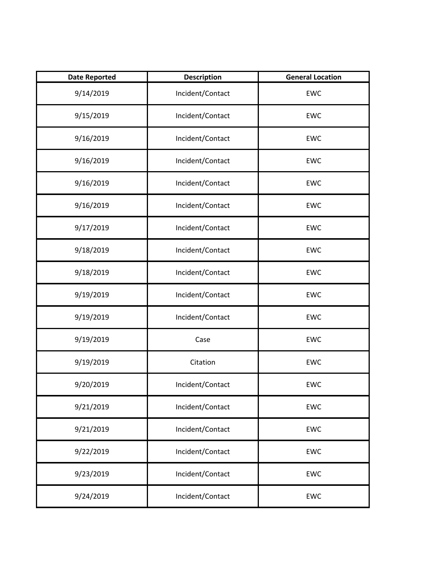| <b>Date Reported</b> | <b>Description</b> | <b>General Location</b> |
|----------------------|--------------------|-------------------------|
| 9/14/2019            | Incident/Contact   | <b>EWC</b>              |
| 9/15/2019            | Incident/Contact   | <b>EWC</b>              |
| 9/16/2019            | Incident/Contact   | <b>EWC</b>              |
| 9/16/2019            | Incident/Contact   | <b>EWC</b>              |
| 9/16/2019            | Incident/Contact   | <b>EWC</b>              |
| 9/16/2019            | Incident/Contact   | <b>EWC</b>              |
| 9/17/2019            | Incident/Contact   | <b>EWC</b>              |
| 9/18/2019            | Incident/Contact   | <b>EWC</b>              |
| 9/18/2019            | Incident/Contact   | <b>EWC</b>              |
| 9/19/2019            | Incident/Contact   | <b>EWC</b>              |
| 9/19/2019            | Incident/Contact   | <b>EWC</b>              |
| 9/19/2019            | Case               | <b>EWC</b>              |
| 9/19/2019            | Citation           | <b>EWC</b>              |
| 9/20/2019            | Incident/Contact   | <b>EWC</b>              |
| 9/21/2019            | Incident/Contact   | EWC                     |
| 9/21/2019            | Incident/Contact   | <b>EWC</b>              |
| 9/22/2019            | Incident/Contact   | EWC                     |
| 9/23/2019            | Incident/Contact   | EWC                     |
| 9/24/2019            | Incident/Contact   | <b>EWC</b>              |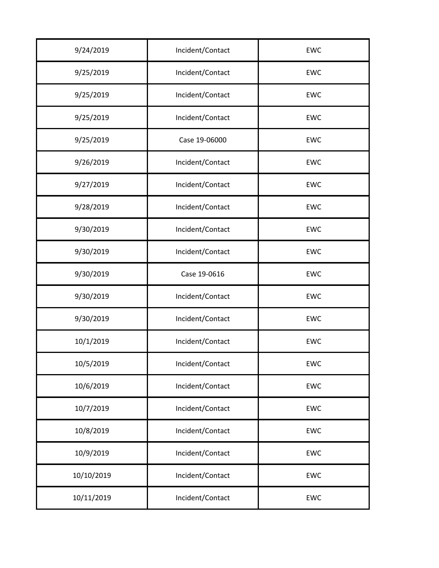| 9/24/2019  | Incident/Contact | EWC        |
|------------|------------------|------------|
| 9/25/2019  | Incident/Contact | EWC        |
| 9/25/2019  | Incident/Contact | <b>EWC</b> |
| 9/25/2019  | Incident/Contact | EWC        |
| 9/25/2019  | Case 19-06000    | EWC        |
| 9/26/2019  | Incident/Contact | <b>EWC</b> |
| 9/27/2019  | Incident/Contact | EWC        |
| 9/28/2019  | Incident/Contact | <b>EWC</b> |
| 9/30/2019  | Incident/Contact | EWC        |
| 9/30/2019  | Incident/Contact | EWC        |
| 9/30/2019  | Case 19-0616     | EWC        |
| 9/30/2019  | Incident/Contact | EWC        |
| 9/30/2019  | Incident/Contact | <b>EWC</b> |
| 10/1/2019  | Incident/Contact | <b>EWC</b> |
| 10/5/2019  | Incident/Contact | <b>EWC</b> |
| 10/6/2019  | Incident/Contact | EWC        |
| 10/7/2019  | Incident/Contact | EWC        |
| 10/8/2019  | Incident/Contact | EWC        |
| 10/9/2019  | Incident/Contact | EWC        |
| 10/10/2019 | Incident/Contact | EWC        |
| 10/11/2019 | Incident/Contact | EWC        |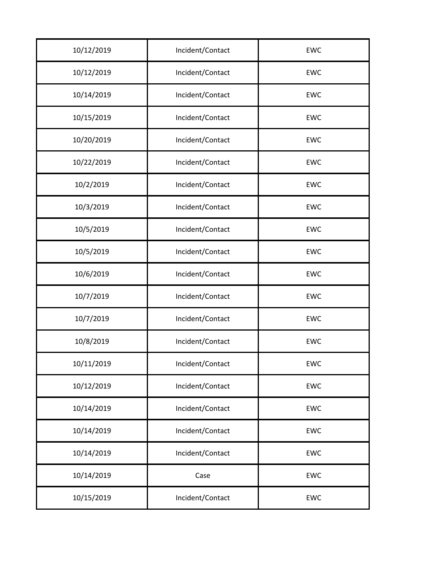| 10/12/2019 | Incident/Contact | <b>EWC</b> |
|------------|------------------|------------|
| 10/12/2019 | Incident/Contact | EWC        |
| 10/14/2019 | Incident/Contact | <b>EWC</b> |
| 10/15/2019 | Incident/Contact | <b>EWC</b> |
| 10/20/2019 | Incident/Contact | EWC        |
| 10/22/2019 | Incident/Contact | <b>EWC</b> |
| 10/2/2019  | Incident/Contact | EWC        |
| 10/3/2019  | Incident/Contact | <b>EWC</b> |
| 10/5/2019  | Incident/Contact | <b>EWC</b> |
| 10/5/2019  | Incident/Contact | EWC        |
| 10/6/2019  | Incident/Contact | <b>EWC</b> |
| 10/7/2019  | Incident/Contact | EWC        |
| 10/7/2019  | Incident/Contact | <b>EWC</b> |
| 10/8/2019  | Incident/Contact | <b>EWC</b> |
| 10/11/2019 | Incident/Contact | EWC        |
| 10/12/2019 | Incident/Contact | EWC        |
| 10/14/2019 | Incident/Contact | EWC        |
| 10/14/2019 | Incident/Contact | EWC        |
| 10/14/2019 | Incident/Contact | EWC        |
| 10/14/2019 | Case             | EWC        |
| 10/15/2019 | Incident/Contact | EWC        |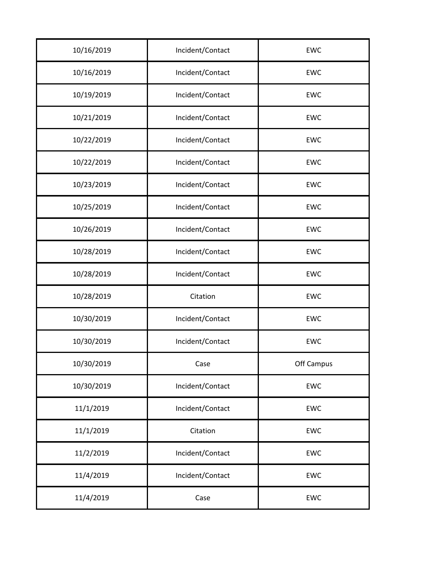| 10/16/2019 | Incident/Contact | <b>EWC</b> |
|------------|------------------|------------|
| 10/16/2019 | Incident/Contact | EWC        |
| 10/19/2019 | Incident/Contact | EWC        |
| 10/21/2019 | Incident/Contact | EWC        |
| 10/22/2019 | Incident/Contact | <b>EWC</b> |
| 10/22/2019 | Incident/Contact | <b>EWC</b> |
| 10/23/2019 | Incident/Contact | <b>EWC</b> |
| 10/25/2019 | Incident/Contact | EWC        |
| 10/26/2019 | Incident/Contact | EWC        |
| 10/28/2019 | Incident/Contact | <b>EWC</b> |
| 10/28/2019 | Incident/Contact | <b>EWC</b> |
| 10/28/2019 | Citation         | EWC        |
| 10/30/2019 | Incident/Contact | EWC        |
| 10/30/2019 | Incident/Contact | <b>EWC</b> |
| 10/30/2019 | Case             | Off Campus |
| 10/30/2019 | Incident/Contact | EWC        |
| 11/1/2019  | Incident/Contact | EWC        |
| 11/1/2019  | Citation         | EWC        |
| 11/2/2019  | Incident/Contact | EWC        |
| 11/4/2019  | Incident/Contact | EWC        |
| 11/4/2019  | Case             | EWC        |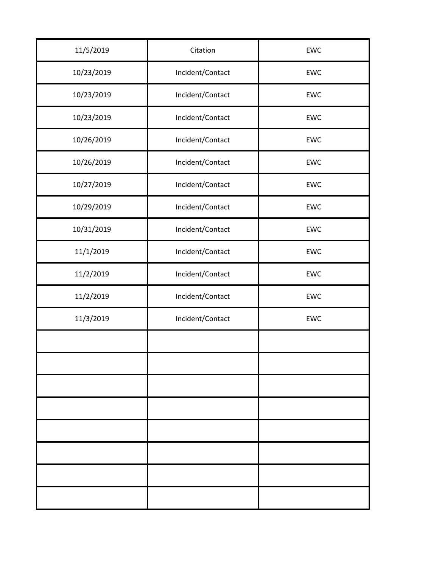| 11/5/2019  | Citation         | EWC |
|------------|------------------|-----|
| 10/23/2019 | Incident/Contact | EWC |
| 10/23/2019 | Incident/Contact | EWC |
| 10/23/2019 | Incident/Contact | EWC |
| 10/26/2019 | Incident/Contact | EWC |
| 10/26/2019 | Incident/Contact | EWC |
| 10/27/2019 | Incident/Contact | EWC |
| 10/29/2019 | Incident/Contact | EWC |
| 10/31/2019 | Incident/Contact | EWC |
| 11/1/2019  | Incident/Contact | EWC |
| 11/2/2019  | Incident/Contact | EWC |
| 11/2/2019  | Incident/Contact | EWC |
| 11/3/2019  | Incident/Contact | EWC |
|            |                  |     |
|            |                  |     |
|            |                  |     |
|            |                  |     |
|            |                  |     |
|            |                  |     |
|            |                  |     |
|            |                  |     |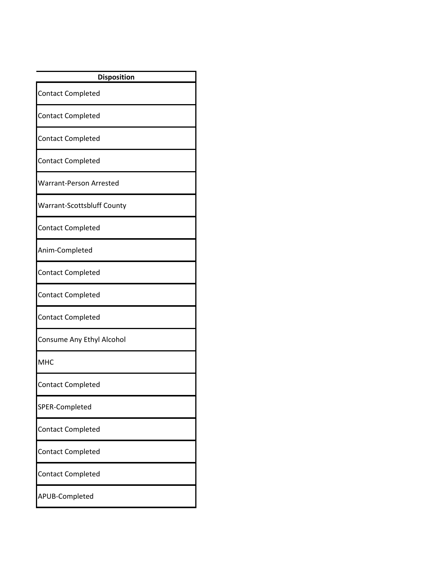| <b>Disposition</b>                |
|-----------------------------------|
| <b>Contact Completed</b>          |
| <b>Contact Completed</b>          |
| <b>Contact Completed</b>          |
| <b>Contact Completed</b>          |
| <b>Warrant-Person Arrested</b>    |
| <b>Warrant-Scottsbluff County</b> |
| <b>Contact Completed</b>          |
| Anim-Completed                    |
| <b>Contact Completed</b>          |
| Contact Completed                 |
| <b>Contact Completed</b>          |
| Consume Any Ethyl Alcohol         |
| <b>MHC</b>                        |
| <b>Contact Completed</b>          |
| SPER-Completed                    |
| <b>Contact Completed</b>          |
| <b>Contact Completed</b>          |
| <b>Contact Completed</b>          |
| APUB-Completed                    |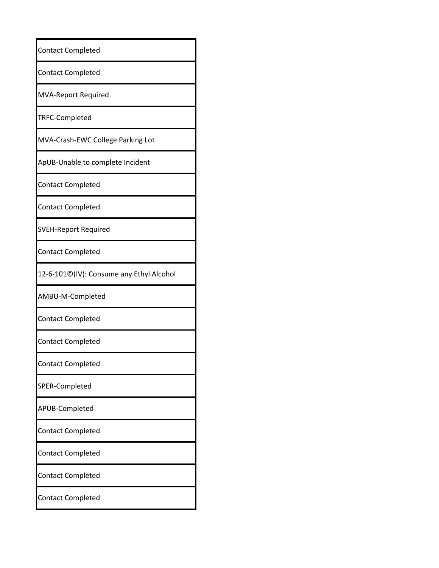| <b>Contact Completed</b>                 |
|------------------------------------------|
| <b>Contact Completed</b>                 |
| <b>MVA-Report Required</b>               |
| TRFC-Completed                           |
| MVA-Crash-EWC College Parking Lot        |
| ApUB-Unable to complete Incident         |
| <b>Contact Completed</b>                 |
| <b>Contact Completed</b>                 |
| <b>SVEH-Report Required</b>              |
| <b>Contact Completed</b>                 |
| 12-6-101©(IV): Consume any Ethyl Alcohol |
| AMBU-M-Completed                         |
| <b>Contact Completed</b>                 |
| <b>Contact Completed</b>                 |
| <b>Contact Completed</b>                 |
| SPER-Completed                           |
| APUB-Completed                           |
| <b>Contact Completed</b>                 |
| <b>Contact Completed</b>                 |
| <b>Contact Completed</b>                 |
| <b>Contact Completed</b>                 |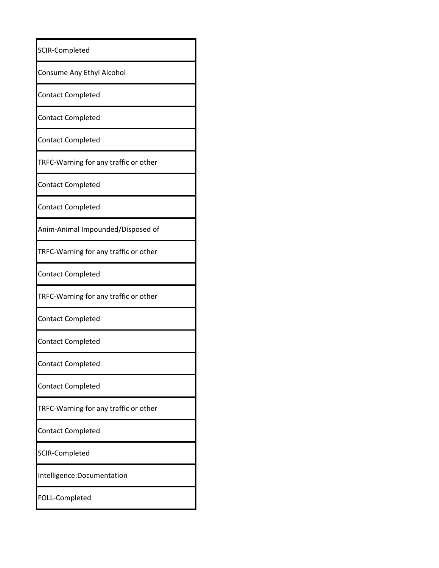| SCIR-Completed                        |
|---------------------------------------|
| Consume Any Ethyl Alcohol             |
| <b>Contact Completed</b>              |
| <b>Contact Completed</b>              |
| <b>Contact Completed</b>              |
| TRFC-Warning for any traffic or other |
| <b>Contact Completed</b>              |
| <b>Contact Completed</b>              |
| Anim-Animal Impounded/Disposed of     |
| TRFC-Warning for any traffic or other |
| <b>Contact Completed</b>              |
| TRFC-Warning for any traffic or other |
| <b>Contact Completed</b>              |
| <b>Contact Completed</b>              |
| <b>Contact Completed</b>              |
| <b>Contact Completed</b>              |
| TRFC-Warning for any traffic or other |
| <b>Contact Completed</b>              |
| <b>SCIR-Completed</b>                 |
| Intelligence: Documentation           |
| FOLL-Completed                        |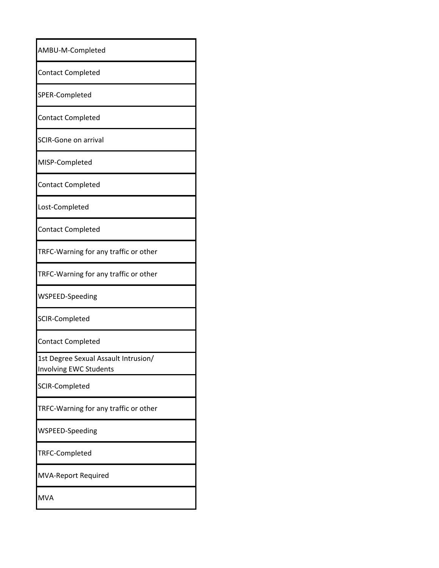| AMBU-M-Completed                                                      |
|-----------------------------------------------------------------------|
| <b>Contact Completed</b>                                              |
| SPER-Completed                                                        |
| <b>Contact Completed</b>                                              |
| <b>SCIR-Gone on arrival</b>                                           |
| MISP-Completed                                                        |
| <b>Contact Completed</b>                                              |
| Lost-Completed                                                        |
| <b>Contact Completed</b>                                              |
| TRFC-Warning for any traffic or other                                 |
| TRFC-Warning for any traffic or other                                 |
| WSPEED-Speeding                                                       |
| <b>SCIR-Completed</b>                                                 |
| <b>Contact Completed</b>                                              |
| 1st Degree Sexual Assault Intrusion/<br><b>Involving EWC Students</b> |
| <b>SCIR-Completed</b>                                                 |
| TRFC-Warning for any traffic or other                                 |
| <b>WSPEED-Speeding</b>                                                |
| TRFC-Completed                                                        |
| <b>MVA-Report Required</b>                                            |
| <b>MVA</b>                                                            |